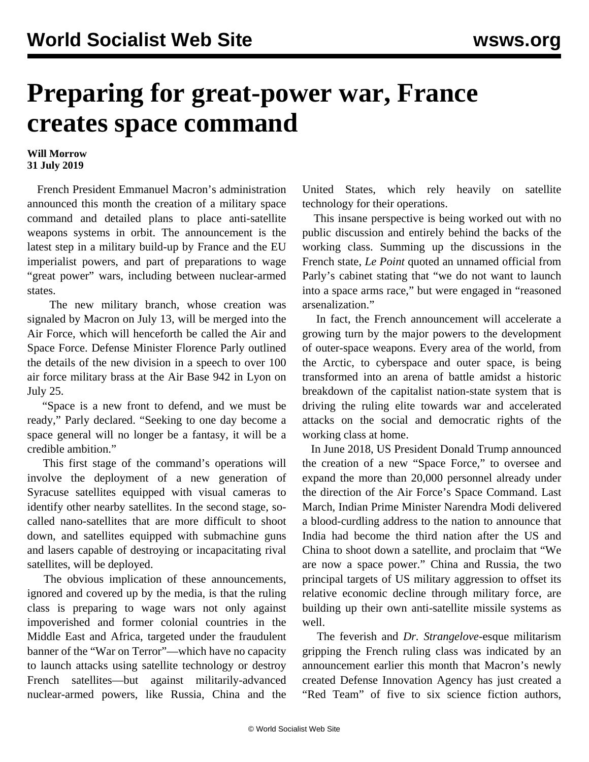## **Preparing for great-power war, France creates space command**

## **Will Morrow 31 July 2019**

 French President Emmanuel Macron's administration announced this month the creation of a military space command and detailed plans to place anti-satellite weapons systems in orbit. The announcement is the latest step in a military build-up by France and the EU imperialist powers, and part of preparations to wage "great power" wars, including between nuclear-armed states.

 The new military branch, whose creation was signaled by Macron on July 13, will be merged into the Air Force, which will henceforth be called the Air and Space Force. Defense Minister Florence Parly outlined the details of the new division in a speech to over 100 air force military brass at the Air Base 942 in Lyon on July 25.

 "Space is a new front to defend, and we must be ready," Parly declared. "Seeking to one day become a space general will no longer be a fantasy, it will be a credible ambition."

 This first stage of the command's operations will involve the deployment of a new generation of Syracuse satellites equipped with visual cameras to identify other nearby satellites. In the second stage, socalled nano-satellites that are more difficult to shoot down, and satellites equipped with submachine guns and lasers capable of destroying or incapacitating rival satellites, will be deployed.

 The obvious implication of these announcements, ignored and covered up by the media, is that the ruling class is preparing to wage wars not only against impoverished and former colonial countries in the Middle East and Africa, targeted under the fraudulent banner of the "War on Terror"—which have no capacity to launch attacks using satellite technology or destroy French satellites—but against militarily-advanced nuclear-armed powers, like Russia, China and the

United States, which rely heavily on satellite technology for their operations.

 This insane perspective is being worked out with no public discussion and entirely behind the backs of the working class. Summing up the discussions in the French state, *Le Point* quoted an unnamed official from Parly's cabinet stating that "we do not want to launch into a space arms race," but were engaged in "reasoned arsenalization."

 In fact, the French announcement will accelerate a growing turn by the major powers to the development of outer-space weapons. Every area of the world, from the Arctic, to cyberspace and outer space, is being transformed into an arena of battle amidst a historic breakdown of the capitalist nation-state system that is driving the ruling elite towards war and accelerated attacks on the social and democratic rights of the working class at home.

 In June 2018, US President Donald Trump [announced](/en/articles/2018/06/19/spac-j19.html) the creation of a new "Space Force," to oversee and expand the more than 20,000 personnel already under the direction of the Air Force's Space Command. Last March, Indian Prime Minister Narendra Modi delivered a blood-curdling [address](/en/articles/2019/04/01/spac-a01.html) to the nation to announce that India had become the third nation after the US and China to shoot down a satellite, and proclaim that "We are now a space power." China and Russia, the two principal targets of US military aggression to offset its relative economic decline through military force, are building up their own anti-satellite missile systems as well.

 The feverish and *Dr. Strangelove*-esque militarism gripping the French ruling class was indicated by an announcement earlier this month that Macron's newly created Defense Innovation Agency has just created a "Red Team" of five to six science fiction authors,